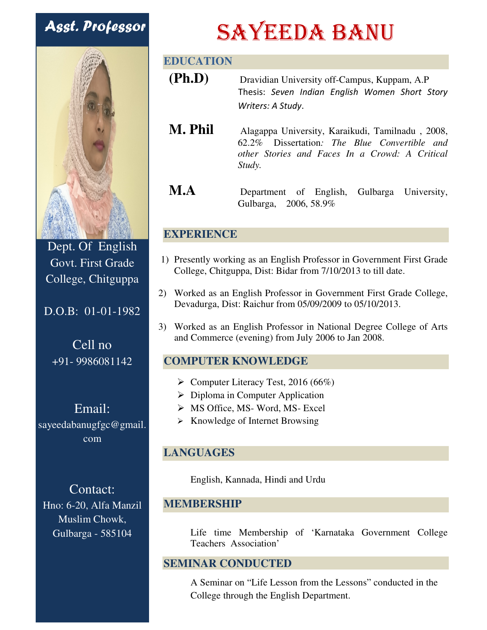## Asst. Professor



Dept. Of English Govt. First Grade College, Chitguppa

### D.O.B: 01-01-1982

Cell no +91- 9986081142

Email: sayeedabanugfgc@gmail. com

Contact: Hno: 6-20, Alfa Manzil Muslim Chowk, Gulbarga - 585104

# SAYEEDA BANU

#### **EDUCATION**

- **(Ph.D)** Dravidian University off-Campus, Kuppam, A.P Thesis: *Seven Indian English Women Short Story Writers: A Study*.
- **M. Phil** Alagappa University, Karaikudi, Tamilnadu , 2008, 62.2% Dissertation*: The Blue Convertible and other Stories and Faces In a Crowd: A Critical Study.*
- **M.A** Department of English, Gulbarga University, Gulbarga, 2006, 58.9%

#### **EXPERIENCE**

- 1) Presently working as an English Professor in Government First Grade College, Chitguppa, Dist: Bidar from 7/10/2013 to till date.
- 2) Worked as an English Professor in Government First Grade College, Devadurga, Dist: Raichur from 05/09/2009 to 05/10/2013.
- 3) Worked as an English Professor in National Degree College of Arts and Commerce (evening) from July 2006 to Jan 2008.

#### **COMPUTER KNOWLEDGE**

- $\triangleright$  Computer Literacy Test, 2016 (66%)
- $\triangleright$  Diploma in Computer Application
- $\triangleright$  MS Office, MS- Word, MS- Excel
- $\triangleright$  Knowledge of Internet Browsing

#### **LANGUAGES**

English, Kannada, Hindi and Urdu

#### **MEMBERSHIP**

Life time Membership of 'Karnataka Government College Teachers Association'

#### **SEMINAR CONDUCTED**

A Seminar on "Life Lesson from the Lessons" conducted in the College through the English Department.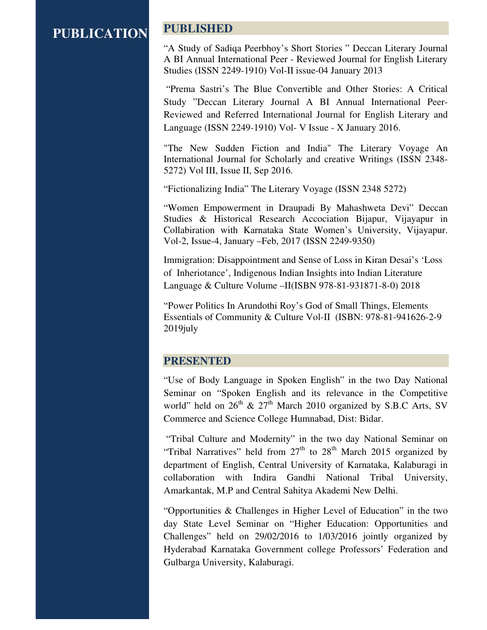#### **PUBLICATION**

#### **PUBLISHED**

"A Study of Sadiqa Peerbhoy's Short Stories " Deccan Literary Journal A BI Annual International Peer - Reviewed Journal for English Literary Studies (ISSN 2249-1910) Vol-II issue-04 January 2013

 "Prema Sastri's The Blue Convertible and Other Stories: A Critical Study "Deccan Literary Journal A BI Annual International Peer-Reviewed and Referred International Journal for English Literary and Language (ISSN 2249-1910) Vol- V Issue - X January 2016.

"The New Sudden Fiction and India" The Literary Voyage An International Journal for Scholarly and creative Writings (ISSN 2348- 5272) Vol III, Issue II, Sep 2016.

"Fictionalizing India" The Literary Voyage (ISSN 2348 5272)

"Women Empowerment in Draupadi By Mahashweta Devi" Deccan Studies & Historical Research Accociation Bijapur, Vijayapur in Collabiration with Karnataka State Women's University, Vijayapur. Vol-2, Issue-4, January –Feb, 2017 (ISSN 2249-9350)

Immigration: Disappointment and Sense of Loss in Kiran Desai's 'Loss of Inheriotance', Indigenous Indian Insights into Indian Literature Language & Culture Volume –II(ISBN 978-81-931871-8-0) 2018

"Power Politics In Arundothi Roy's God of Small Things, Elements Essentials of Community & Culture Vol-II (ISBN: 978-81-941626-2-9 2019july

#### **PRESENTED**

"Use of Body Language in Spoken English" in the two Day National Seminar on "Spoken English and its relevance in the Competitive world" held on  $26^{th}$  &  $27^{th}$  March 2010 organized by S.B.C Arts, SV Commerce and Science College Humnabad, Dist: Bidar.

 "Tribal Culture and Modernity" in the two day National Seminar on "Tribal Narratives" held from  $27<sup>th</sup>$  to  $28<sup>th</sup>$  March 2015 organized by department of English, Central University of Karnataka, Kalaburagi in collaboration with Indira Gandhi National Tribal University, Amarkantak, M.P and Central Sahitya Akademi New Delhi.

"Opportunities & Challenges in Higher Level of Education" in the two day State Level Seminar on "Higher Education: Opportunities and Challenges" held on 29/02/2016 to 1/03/2016 jointly organized by Hyderabad Karnataka Government college Professors' Federation and Gulbarga University, Kalaburagi.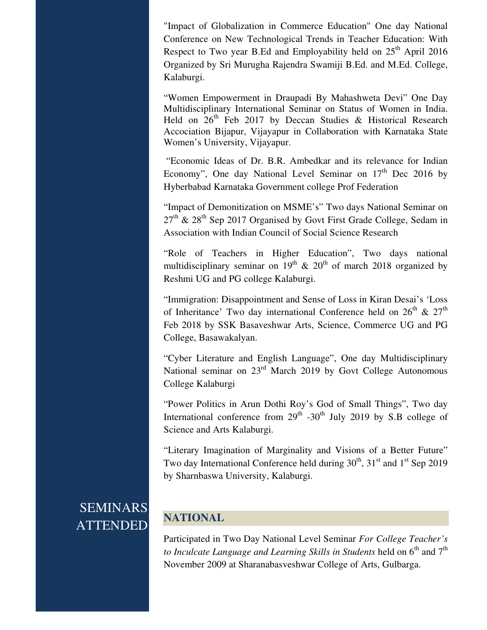"Impact of Globalization in Commerce Education" One day National Conference on New Technological Trends in Teacher Education: With Respect to Two year B.Ed and Employability held on  $25<sup>th</sup>$  April 2016 Organized by Sri Murugha Rajendra Swamiji B.Ed. and M.Ed. College, Kalaburgi.

"Women Empowerment in Draupadi By Mahashweta Devi" One Day Multidisciplinary International Seminar on Status of Women in India. Held on  $26<sup>th</sup>$  Feb 2017 by Deccan Studies & Historical Research Accociation Bijapur, Vijayapur in Collaboration with Karnataka State Women's University, Vijayapur.

 "Economic Ideas of Dr. B.R. Ambedkar and its relevance for Indian Economy", One day National Level Seminar on  $17<sup>th</sup>$  Dec 2016 by Hyberbabad Karnataka Government college Prof Federation

"Impact of Demonitization on MSME's" Two days National Seminar on  $27<sup>th</sup>$  &  $28<sup>th</sup>$  Sep 2017 Organised by Govt First Grade College, Sedam in Association with Indian Council of Social Science Research

"Role of Teachers in Higher Education", Two days national multidisciplinary seminar on  $19<sup>th</sup>$  &  $20<sup>th</sup>$  of march 2018 organized by Reshmi UG and PG college Kalaburgi.

"Immigration: Disappointment and Sense of Loss in Kiran Desai's 'Loss of Inheritance' Two day international Conference held on  $26<sup>th</sup>$  &  $27<sup>th</sup>$ Feb 2018 by SSK Basaveshwar Arts, Science, Commerce UG and PG College, Basawakalyan.

"Cyber Literature and English Language", One day Multidisciplinary National seminar on 23<sup>rd</sup> March 2019 by Govt College Autonomous College Kalaburgi

"Power Politics in Arun Dothi Roy's God of Small Things", Two day International conference from  $29<sup>th</sup>$  -30<sup>th</sup> July 2019 by S.B college of Science and Arts Kalaburgi.

"Literary Imagination of Marginality and Visions of a Better Future" Two day International Conference held during  $30<sup>th</sup>$ ,  $31<sup>st</sup>$  and  $1<sup>st</sup>$  Sep 2019 by Sharnbaswa University, Kalaburgi.

## SEMINARS ATTENDED

### **NATIONAL**

Participated in Two Day National Level Seminar *For College Teacher's to Inculcate Language and Learning Skills in Students* held on  $6<sup>th</sup>$  and  $7<sup>th</sup>$ November 2009 at Sharanabasveshwar College of Arts, Gulbarga.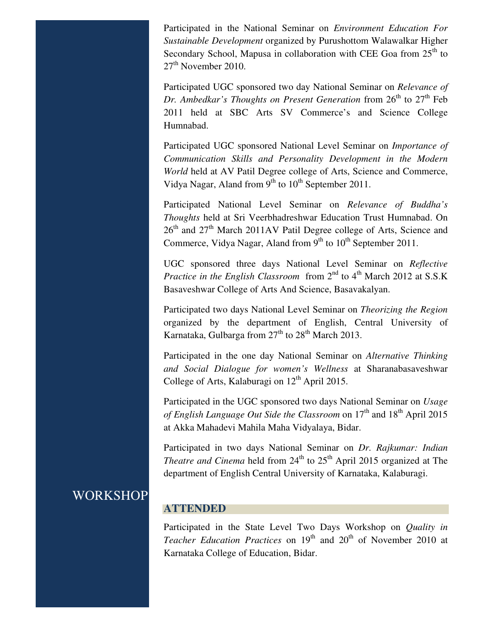Participated in the National Seminar on *Environment Education For Sustainable Development* organized by Purushottom Walawalkar Higher Secondary School, Mapusa in collaboration with CEE Goa from  $25<sup>th</sup>$  to  $27<sup>th</sup>$  November 2010.

Participated UGC sponsored two day National Seminar on *Relevance of Dr. Ambedkar's Thoughts on Present Generation* from 26<sup>th</sup> to 27<sup>th</sup> Feb 2011 held at SBC Arts SV Commerce's and Science College Humnabad.

Participated UGC sponsored National Level Seminar on *Importance of Communication Skills and Personality Development in the Modern World* held at AV Patil Degree college of Arts, Science and Commerce, Vidya Nagar, Aland from  $9<sup>th</sup>$  to  $10<sup>th</sup>$  September 2011.

Participated National Level Seminar on *Relevance of Buddha's Thoughts* held at Sri Veerbhadreshwar Education Trust Humnabad. On  $26<sup>th</sup>$  and  $27<sup>th</sup>$  March 2011AV Patil Degree college of Arts, Science and Commerce, Vidya Nagar, Aland from  $9<sup>th</sup>$  to  $10<sup>th</sup>$  September 2011.

UGC sponsored three days National Level Seminar on *Reflective Practice in the English Classroom* from  $2<sup>nd</sup>$  to  $4<sup>th</sup>$  March 2012 at S.S.K Basaveshwar College of Arts And Science, Basavakalyan.

Participated two days National Level Seminar on *Theorizing the Region* organized by the department of English, Central University of Karnataka, Gulbarga from  $27<sup>th</sup>$  to  $28<sup>th</sup>$  March 2013.

Participated in the one day National Seminar on *Alternative Thinking and Social Dialogue for women's Wellness* at Sharanabasaveshwar College of Arts, Kalaburagi on  $12^{th}$  April 2015.

Participated in the UGC sponsored two days National Seminar on *Usage of English Language Out Side the Classroom* on  $17<sup>th</sup>$  and  $18<sup>th</sup>$  April 2015 at Akka Mahadevi Mahila Maha Vidyalaya, Bidar.

Participated in two days National Seminar on *Dr. Rajkumar: Indian Theatre and Cinema* held from  $24<sup>th</sup>$  to  $25<sup>th</sup>$  April 2015 organized at The department of English Central University of Karnataka, Kalaburagi.

### WORKSHOP

#### **ATTENDED**

Participated in the State Level Two Days Workshop on *Quality in Teacher Education Practices* on 19<sup>th</sup> and 20<sup>th</sup> of November 2010 at Karnataka College of Education, Bidar.